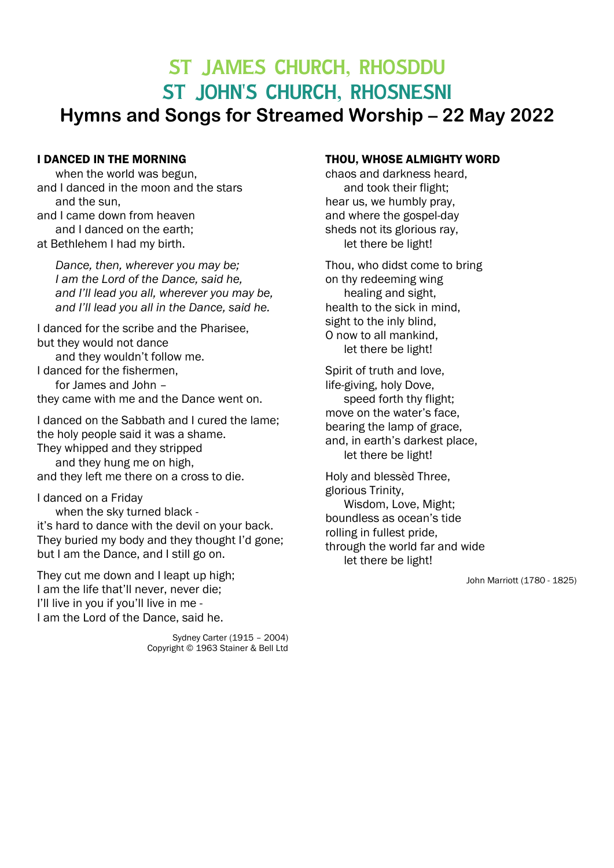## ST JAMES CHURCH, RHOSDDU ST JOHN'S CHURCH, RHOSNESNI **Hymns and Songs for Streamed Worship – 22 May 2022**

## I DANCED IN THE MORNING

when the world was begun, and I danced in the moon and the stars and the sun, and I came down from heaven and I danced on the earth; at Bethlehem I had my birth.

*Dance, then, wherever you may be; I am the Lord of the Dance, said he, and I'll lead you all, wherever you may be, and I'll lead you all in the Dance, said he.*

I danced for the scribe and the Pharisee, but they would not dance and they wouldn't follow me. I danced for the fishermen, for James and John – they came with me and the Dance went on.

I danced on the Sabbath and I cured the lame; the holy people said it was a shame. They whipped and they stripped

and they hung me on high, and they left me there on a cross to die.

I danced on a Friday when the sky turned black it's hard to dance with the devil on your back.

They buried my body and they thought I'd gone; but I am the Dance, and I still go on.

They cut me down and I leapt up high; I am the life that'll never, never die; I'll live in you if you'll live in me - I am the Lord of the Dance, said he.

> Sydney Carter (1915 – 2004) Copyright © 1963 Stainer & Bell Ltd

## THOU, WHOSE ALMIGHTY WORD

chaos and darkness heard, and took their flight; hear us, we humbly pray, and where the gospel-day sheds not its glorious ray, let there be light!

Thou, who didst come to bring on thy redeeming wing healing and sight, health to the sick in mind, sight to the inly blind, O now to all mankind, let there be light!

Spirit of truth and love, life-giving, holy Dove, speed forth thy flight; move on the water's face, bearing the lamp of grace, and, in earth's darkest place, let there be light!

Holy and blessèd Three, glorious Trinity, Wisdom, Love, Might; boundless as ocean's tide rolling in fullest pride, through the world far and wide let there be light!

John Marriott (1780 - 1825)